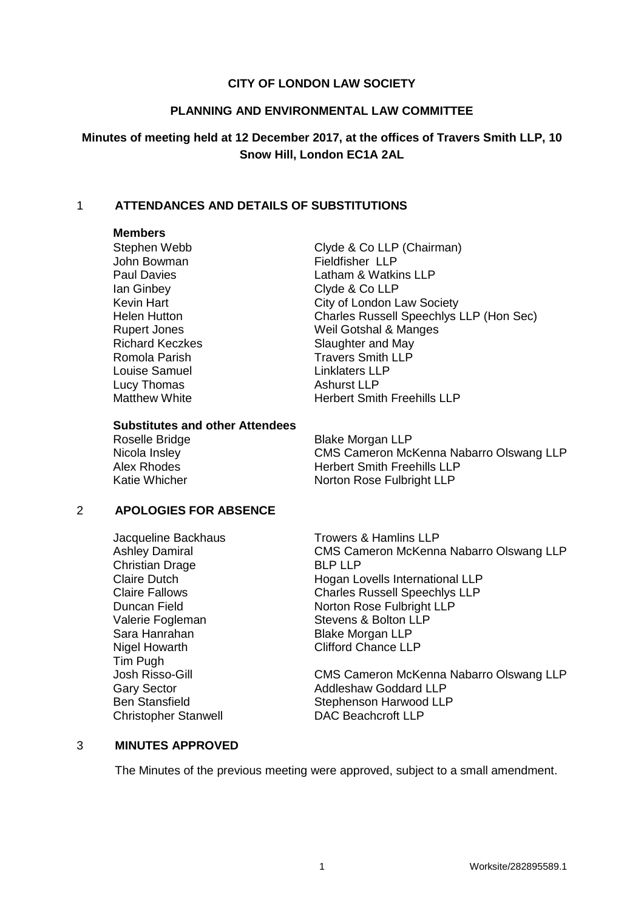### **CITY OF LONDON LAW SOCIETY**

#### **PLANNING AND ENVIRONMENTAL LAW COMMITTEE**

## **Minutes of meeting held at 12 December 2017, at the offices of Travers Smith LLP, 10 Snow Hill, London EC1A 2AL**

### 1 **ATTENDANCES AND DETAILS OF SUBSTITUTIONS**

### **Members**

John Bowman Fieldfisher LLP Ian Ginbey Clyde & Co LLP Louise Samuel **Linklaters LLP**<br>
Lucy Thomas **Lucy Ashurst LLP** Lucy Thomas

Stephen Webb Clyde & Co LLP (Chairman) Paul Davies **Latham & Watkins LLP** Kevin Hart **City of London Law Society** Helen Hutton Charles Russell Speechlys LLP (Hon Sec) Rupert Jones Weil Gotshal & Manges Richard Keczkes Slaughter and May Romola Parish Travers Smith LLP Matthew White **Herbert Smith Freehills LLP** 

#### **Substitutes and other Attendees**

Roselle Bridge Blake Morgan LLP

Nicola Insley CMS Cameron McKenna Nabarro Olswang LLP Alex Rhodes **Herbert Smith Freehills LLP** Katie Whicher Norton Rose Fulbright LLP

#### 2 **APOLOGIES FOR ABSENCE**

Christian Drage BLP LLP Nigel Howarth Clifford Chance LLP Tim Pugh Christopher Stanwell DAC Beachcroft LLP

Jacqueline Backhaus<br>
Ashley Damiral CMS Cameron McKenn CMS Cameron McKenna Nabarro Olswang LLP Claire Dutch **Hogan Lovells International LLP** Claire Fallows Charles Russell Speechlys LLP Duncan Field Norton Rose Fulbright LLP Valerie Fogleman Stevens & Bolton LLP<br>
Sara Hanrahan Sara Blake Morgan LLP Blake Morgan LLP

Josh Risso-Gill CMS Cameron McKenna Nabarro Olswang LLP Gary Sector **Addleshaw Goddard LLP** Ben Stansfield Stephenson Harwood LLP

#### 3 **MINUTES APPROVED**

The Minutes of the previous meeting were approved, subject to a small amendment.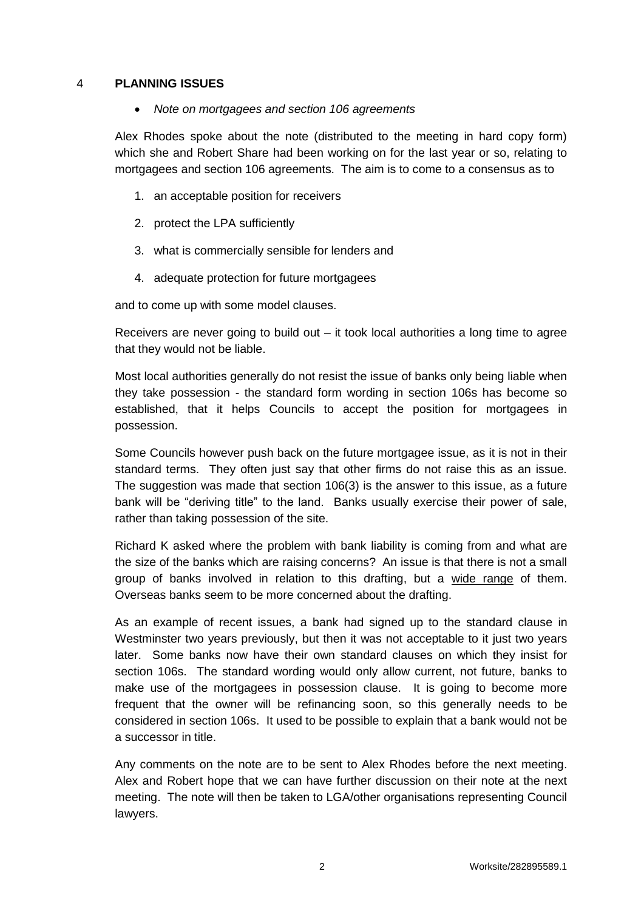### 4 **PLANNING ISSUES**

*Note on mortgagees and section 106 agreements*

Alex Rhodes spoke about the note (distributed to the meeting in hard copy form) which she and Robert Share had been working on for the last year or so, relating to mortgagees and section 106 agreements. The aim is to come to a consensus as to

- 1. an acceptable position for receivers
- 2. protect the LPA sufficiently
- 3. what is commercially sensible for lenders and
- 4. adequate protection for future mortgagees

and to come up with some model clauses.

Receivers are never going to build out – it took local authorities a long time to agree that they would not be liable.

Most local authorities generally do not resist the issue of banks only being liable when they take possession - the standard form wording in section 106s has become so established, that it helps Councils to accept the position for mortgagees in possession.

Some Councils however push back on the future mortgagee issue, as it is not in their standard terms. They often just say that other firms do not raise this as an issue. The suggestion was made that section 106(3) is the answer to this issue, as a future bank will be "deriving title" to the land. Banks usually exercise their power of sale, rather than taking possession of the site.

Richard K asked where the problem with bank liability is coming from and what are the size of the banks which are raising concerns? An issue is that there is not a small group of banks involved in relation to this drafting, but a wide range of them. Overseas banks seem to be more concerned about the drafting.

As an example of recent issues, a bank had signed up to the standard clause in Westminster two years previously, but then it was not acceptable to it just two years later. Some banks now have their own standard clauses on which they insist for section 106s. The standard wording would only allow current, not future, banks to make use of the mortgagees in possession clause. It is going to become more frequent that the owner will be refinancing soon, so this generally needs to be considered in section 106s. It used to be possible to explain that a bank would not be a successor in title.

Any comments on the note are to be sent to Alex Rhodes before the next meeting. Alex and Robert hope that we can have further discussion on their note at the next meeting. The note will then be taken to LGA/other organisations representing Council lawyers.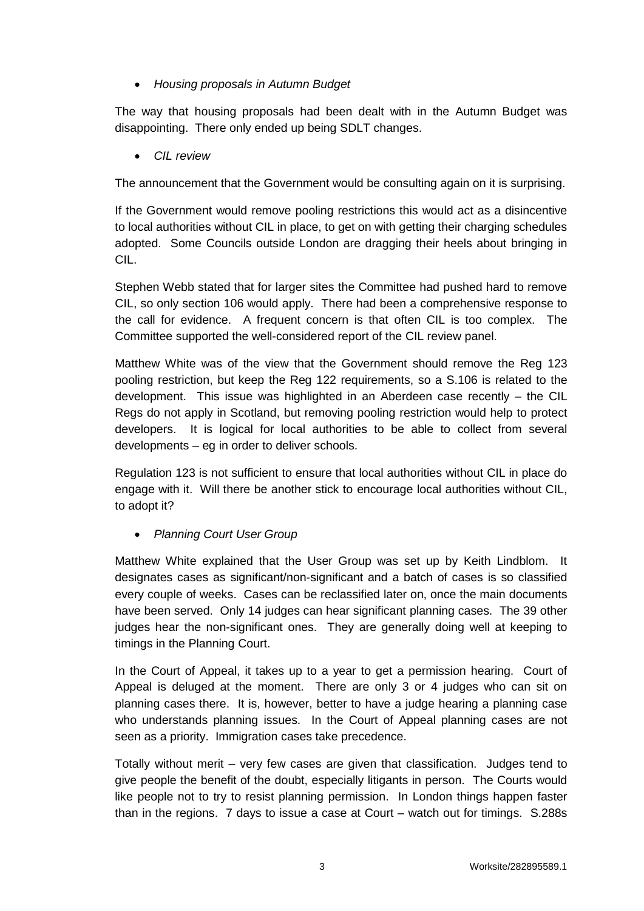# *Housing proposals in Autumn Budget*

The way that housing proposals had been dealt with in the Autumn Budget was disappointing. There only ended up being SDLT changes.

*CIL review* 

The announcement that the Government would be consulting again on it is surprising.

If the Government would remove pooling restrictions this would act as a disincentive to local authorities without CIL in place, to get on with getting their charging schedules adopted. Some Councils outside London are dragging their heels about bringing in CIL.

Stephen Webb stated that for larger sites the Committee had pushed hard to remove CIL, so only section 106 would apply. There had been a comprehensive response to the call for evidence. A frequent concern is that often CIL is too complex. The Committee supported the well-considered report of the CIL review panel.

Matthew White was of the view that the Government should remove the Reg 123 pooling restriction, but keep the Reg 122 requirements, so a S.106 is related to the development. This issue was highlighted in an Aberdeen case recently – the CIL Regs do not apply in Scotland, but removing pooling restriction would help to protect developers. It is logical for local authorities to be able to collect from several developments – eg in order to deliver schools.

Regulation 123 is not sufficient to ensure that local authorities without CIL in place do engage with it. Will there be another stick to encourage local authorities without CIL, to adopt it?

*Planning Court User Group*

Matthew White explained that the User Group was set up by Keith Lindblom. It designates cases as significant/non-significant and a batch of cases is so classified every couple of weeks. Cases can be reclassified later on, once the main documents have been served. Only 14 judges can hear significant planning cases. The 39 other judges hear the non-significant ones. They are generally doing well at keeping to timings in the Planning Court.

In the Court of Appeal, it takes up to a year to get a permission hearing. Court of Appeal is deluged at the moment. There are only 3 or 4 judges who can sit on planning cases there. It is, however, better to have a judge hearing a planning case who understands planning issues. In the Court of Appeal planning cases are not seen as a priority. Immigration cases take precedence.

Totally without merit – very few cases are given that classification. Judges tend to give people the benefit of the doubt, especially litigants in person. The Courts would like people not to try to resist planning permission. In London things happen faster than in the regions. 7 days to issue a case at Court – watch out for timings. S.288s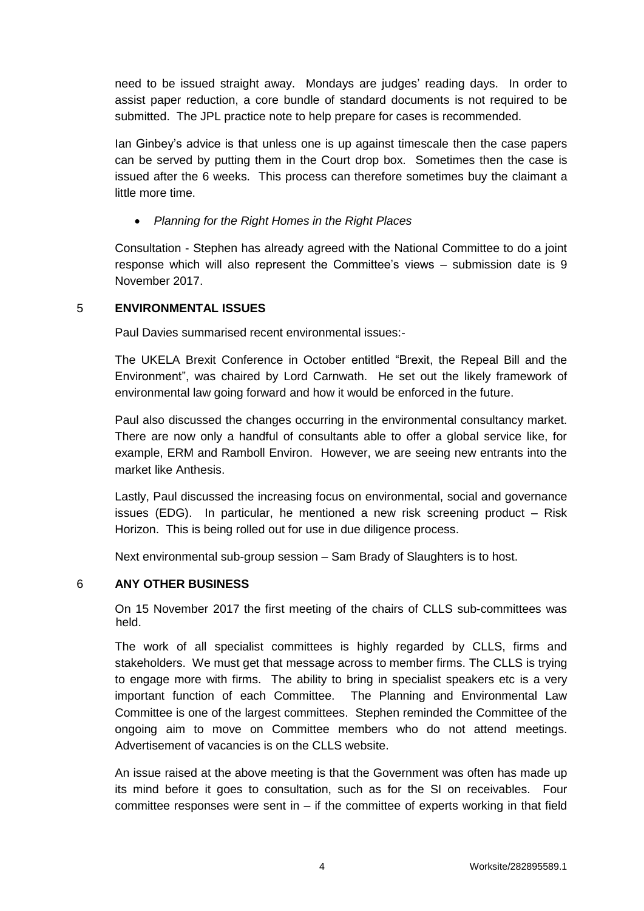need to be issued straight away. Mondays are judges' reading days. In order to assist paper reduction, a core bundle of standard documents is not required to be submitted. The JPL practice note to help prepare for cases is recommended.

Ian Ginbey's advice is that unless one is up against timescale then the case papers can be served by putting them in the Court drop box. Sometimes then the case is issued after the 6 weeks. This process can therefore sometimes buy the claimant a little more time.

# *Planning for the Right Homes in the Right Places*

Consultation - Stephen has already agreed with the National Committee to do a joint response which will also represent the Committee's views – submission date is 9 November 2017.

## 5 **ENVIRONMENTAL ISSUES**

Paul Davies summarised recent environmental issues:-

The UKELA Brexit Conference in October entitled "Brexit, the Repeal Bill and the Environment", was chaired by Lord Carnwath. He set out the likely framework of environmental law going forward and how it would be enforced in the future.

Paul also discussed the changes occurring in the environmental consultancy market. There are now only a handful of consultants able to offer a global service like, for example, ERM and Ramboll Environ. However, we are seeing new entrants into the market like Anthesis.

Lastly, Paul discussed the increasing focus on environmental, social and governance issues (EDG). In particular, he mentioned a new risk screening product – Risk Horizon. This is being rolled out for use in due diligence process.

Next environmental sub-group session – Sam Brady of Slaughters is to host.

# 6 **ANY OTHER BUSINESS**

On 15 November 2017 the first meeting of the chairs of CLLS sub-committees was held.

The work of all specialist committees is highly regarded by CLLS, firms and stakeholders. We must get that message across to member firms. The CLLS is trying to engage more with firms. The ability to bring in specialist speakers etc is a very important function of each Committee. The Planning and Environmental Law Committee is one of the largest committees. Stephen reminded the Committee of the ongoing aim to move on Committee members who do not attend meetings. Advertisement of vacancies is on the CLLS website.

An issue raised at the above meeting is that the Government was often has made up its mind before it goes to consultation, such as for the SI on receivables. Four committee responses were sent in  $-$  if the committee of experts working in that field